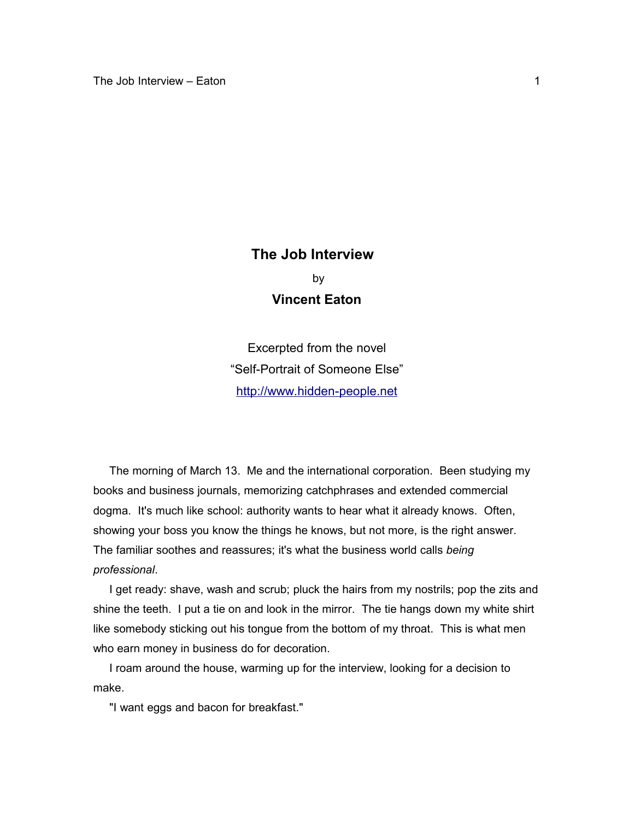## **The Job Interview**  by **Vincent Eaton**

Excerpted from the novel "Self-Portrait of Someone Else" [http://www.hidden-people.net](http://www.hidden-people.net/)

 The morning of March 13. Me and the international corporation. Been studying my books and business journals, memorizing catchphrases and extended commercial dogma. It's much like school: authority wants to hear what it already knows. Often, showing your boss you know the things he knows, but not more, is the right answer. The familiar soothes and reassures; it's what the business world calls *being professional*.

I get ready: shave, wash and scrub; pluck the hairs from my nostrils; pop the zits and shine the teeth. I put a tie on and look in the mirror. The tie hangs down my white shirt like somebody sticking out his tongue from the bottom of my throat. This is what men who earn money in business do for decoration.

 I roam around the house, warming up for the interview, looking for a decision to make.

"I want eggs and bacon for breakfast."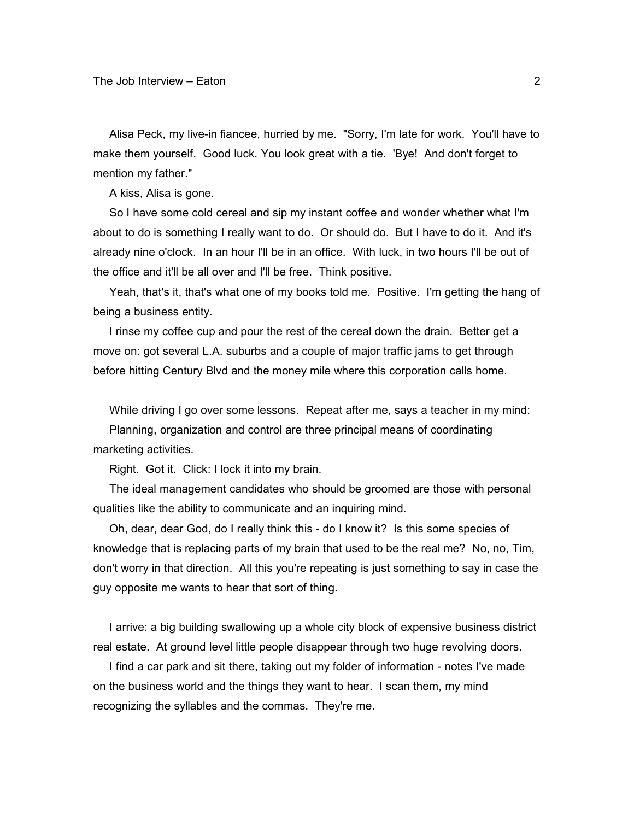Alisa Peck, my live-in fiancee, hurried by me. "Sorry, I'm late for work. You'll have to make them yourself. Good luck. You look great with a tie. 'Bye! And don't forget to mention my father."

A kiss, Alisa is gone.

 So I have some cold cereal and sip my instant coffee and wonder whether what I'm about to do is something I really want to do. Or should do. But I have to do it. And it's already nine o'clock. In an hour I'll be in an office. With luck, in two hours I'll be out of the office and it'll be all over and I'll be free. Think positive.

 Yeah, that's it, that's what one of my books told me. Positive. I'm getting the hang of being a business entity.

 I rinse my coffee cup and pour the rest of the cereal down the drain. Better get a move on: got several L.A. suburbs and a couple of major traffic jams to get through before hitting Century Blvd and the money mile where this corporation calls home.

While driving I go over some lessons. Repeat after me, says a teacher in my mind:

 Planning, organization and control are three principal means of coordinating marketing activities.

Right. Got it. Click: I lock it into my brain.

 The ideal management candidates who should be groomed are those with personal qualities like the ability to communicate and an inquiring mind.

 Oh, dear, dear God, do I really think this - do I know it? Is this some species of knowledge that is replacing parts of my brain that used to be the real me? No, no, Tim, don't worry in that direction. All this you're repeating is just something to say in case the guy opposite me wants to hear that sort of thing.

 I arrive: a big building swallowing up a whole city block of expensive business district real estate. At ground level little people disappear through two huge revolving doors.

 I find a car park and sit there, taking out my folder of information - notes I've made on the business world and the things they want to hear. I scan them, my mind recognizing the syllables and the commas. They're me.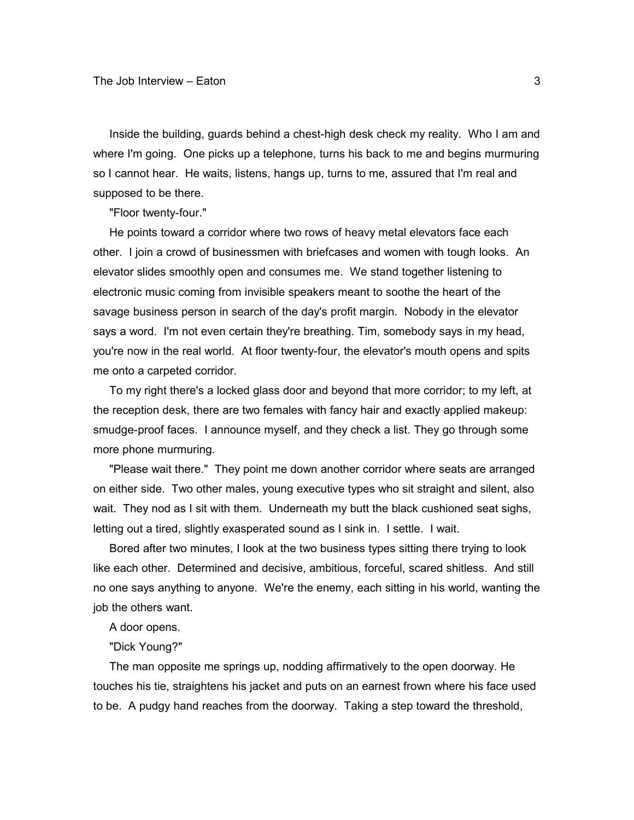Inside the building, guards behind a chest-high desk check my reality. Who I am and where I'm going. One picks up a telephone, turns his back to me and begins murmuring so I cannot hear. He waits, listens, hangs up, turns to me, assured that I'm real and supposed to be there.

"Floor twenty-four."

 He points toward a corridor where two rows of heavy metal elevators face each other. I join a crowd of businessmen with briefcases and women with tough looks. An elevator slides smoothly open and consumes me. We stand together listening to electronic music coming from invisible speakers meant to soothe the heart of the savage business person in search of the day's profit margin. Nobody in the elevator says a word. I'm not even certain they're breathing. Tim, somebody says in my head, you're now in the real world. At floor twenty-four, the elevator's mouth opens and spits me onto a carpeted corridor.

 To my right there's a locked glass door and beyond that more corridor; to my left, at the reception desk, there are two females with fancy hair and exactly applied makeup: smudge-proof faces. I announce myself, and they check a list. They go through some more phone murmuring.

 "Please wait there." They point me down another corridor where seats are arranged on either side. Two other males, young executive types who sit straight and silent, also wait. They nod as I sit with them. Underneath my butt the black cushioned seat sighs, letting out a tired, slightly exasperated sound as I sink in. I settle. I wait.

 Bored after two minutes, I look at the two business types sitting there trying to look like each other. Determined and decisive, ambitious, forceful, scared shitless. And still no one says anything to anyone. We're the enemy, each sitting in his world, wanting the job the others want.

A door opens.

"Dick Young?"

 The man opposite me springs up, nodding affirmatively to the open doorway. He touches his tie, straightens his jacket and puts on an earnest frown where his face used to be. A pudgy hand reaches from the doorway. Taking a step toward the threshold,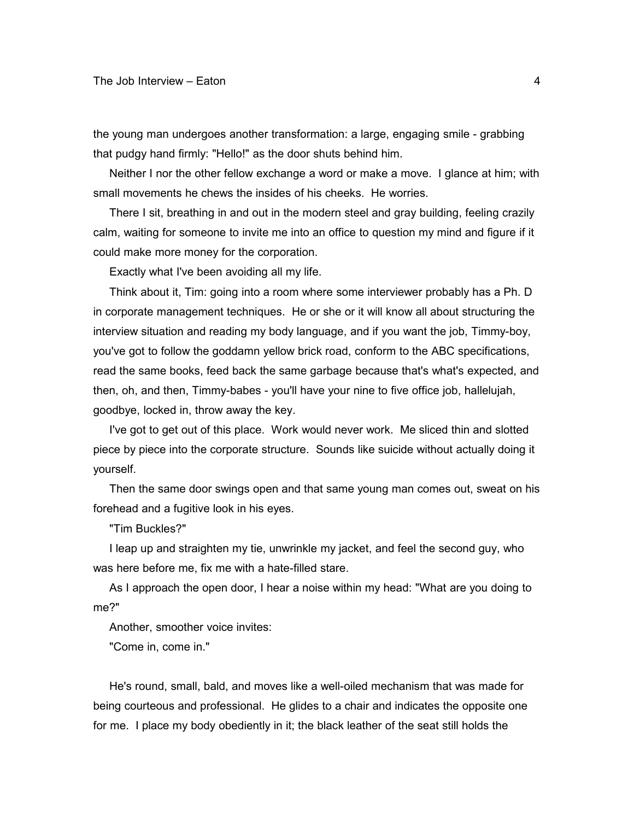the young man undergoes another transformation: a large, engaging smile - grabbing that pudgy hand firmly: "Hello!" as the door shuts behind him.

 Neither I nor the other fellow exchange a word or make a move. I glance at him; with small movements he chews the insides of his cheeks. He worries.

 There I sit, breathing in and out in the modern steel and gray building, feeling crazily calm, waiting for someone to invite me into an office to question my mind and figure if it could make more money for the corporation.

Exactly what I've been avoiding all my life.

 Think about it, Tim: going into a room where some interviewer probably has a Ph. D in corporate management techniques. He or she or it will know all about structuring the interview situation and reading my body language, and if you want the job, Timmy-boy, you've got to follow the goddamn yellow brick road, conform to the ABC specifications, read the same books, feed back the same garbage because that's what's expected, and then, oh, and then, Timmy-babes - you'll have your nine to five office job, hallelujah, goodbye, locked in, throw away the key.

 I've got to get out of this place. Work would never work. Me sliced thin and slotted piece by piece into the corporate structure. Sounds like suicide without actually doing it yourself.

 Then the same door swings open and that same young man comes out, sweat on his forehead and a fugitive look in his eyes.

"Tim Buckles?"

 I leap up and straighten my tie, unwrinkle my jacket, and feel the second guy, who was here before me, fix me with a hate-filled stare.

 As I approach the open door, I hear a noise within my head: "What are you doing to me?"

Another, smoother voice invites:

"Come in, come in."

 He's round, small, bald, and moves like a well-oiled mechanism that was made for being courteous and professional. He glides to a chair and indicates the opposite one for me. I place my body obediently in it; the black leather of the seat still holds the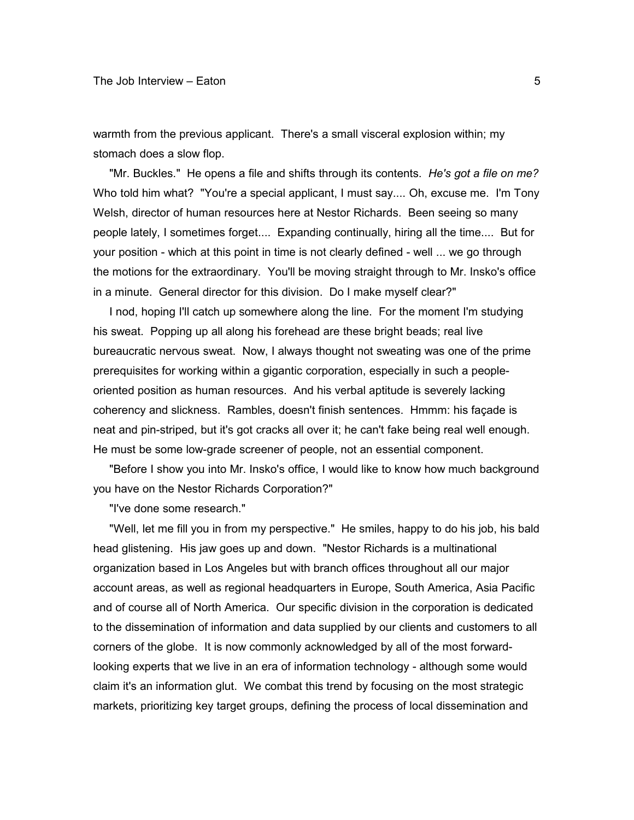warmth from the previous applicant. There's a small visceral explosion within; my stomach does a slow flop.

 "Mr. Buckles." He opens a file and shifts through its contents. *He's got a file on me?* Who told him what? "You're a special applicant, I must say.... Oh, excuse me. I'm Tony Welsh, director of human resources here at Nestor Richards. Been seeing so many people lately, I sometimes forget.... Expanding continually, hiring all the time.... But for your position - which at this point in time is not clearly defined - well ... we go through the motions for the extraordinary. You'll be moving straight through to Mr. Insko's office in a minute. General director for this division. Do I make myself clear?"

 I nod, hoping I'll catch up somewhere along the line. For the moment I'm studying his sweat. Popping up all along his forehead are these bright beads; real live bureaucratic nervous sweat. Now, I always thought not sweating was one of the prime prerequisites for working within a gigantic corporation, especially in such a peopleoriented position as human resources. And his verbal aptitude is severely lacking coherency and slickness. Rambles, doesn't finish sentences. Hmmm: his façade is neat and pin-striped, but it's got cracks all over it; he can't fake being real well enough. He must be some low-grade screener of people, not an essential component.

 "Before I show you into Mr. Insko's office, I would like to know how much background you have on the Nestor Richards Corporation?"

"I've done some research."

 "Well, let me fill you in from my perspective." He smiles, happy to do his job, his bald head glistening. His jaw goes up and down. "Nestor Richards is a multinational organization based in Los Angeles but with branch offices throughout all our major account areas, as well as regional headquarters in Europe, South America, Asia Pacific and of course all of North America. Our specific division in the corporation is dedicated to the dissemination of information and data supplied by our clients and customers to all corners of the globe. It is now commonly acknowledged by all of the most forwardlooking experts that we live in an era of information technology - although some would claim it's an information glut. We combat this trend by focusing on the most strategic markets, prioritizing key target groups, defining the process of local dissemination and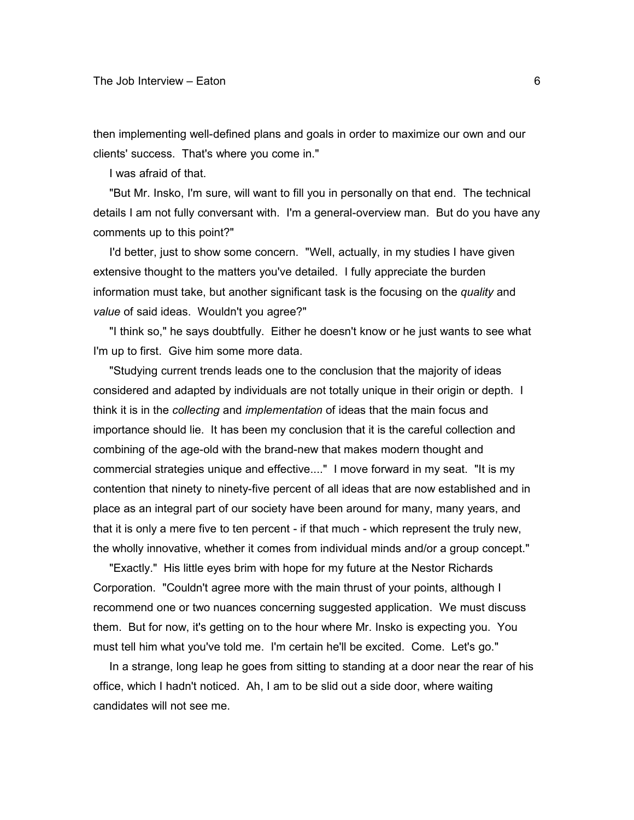then implementing well-defined plans and goals in order to maximize our own and our clients' success. That's where you come in."

I was afraid of that.

 "But Mr. Insko, I'm sure, will want to fill you in personally on that end. The technical details I am not fully conversant with. I'm a general-overview man. But do you have any comments up to this point?"

 I'd better, just to show some concern. "Well, actually, in my studies I have given extensive thought to the matters you've detailed. I fully appreciate the burden information must take, but another significant task is the focusing on the *quality* and *value* of said ideas. Wouldn't you agree?"

 "I think so," he says doubtfully. Either he doesn't know or he just wants to see what I'm up to first. Give him some more data.

 "Studying current trends leads one to the conclusion that the majority of ideas considered and adapted by individuals are not totally unique in their origin or depth. I think it is in the *collecting* and *implementation* of ideas that the main focus and importance should lie. It has been my conclusion that it is the careful collection and combining of the age-old with the brand-new that makes modern thought and commercial strategies unique and effective...." I move forward in my seat. "It is my contention that ninety to ninety-five percent of all ideas that are now established and in place as an integral part of our society have been around for many, many years, and that it is only a mere five to ten percent - if that much - which represent the truly new, the wholly innovative, whether it comes from individual minds and/or a group concept."

 "Exactly." His little eyes brim with hope for my future at the Nestor Richards Corporation. "Couldn't agree more with the main thrust of your points, although I recommend one or two nuances concerning suggested application. We must discuss them. But for now, it's getting on to the hour where Mr. Insko is expecting you. You must tell him what you've told me. I'm certain he'll be excited. Come. Let's go."

 In a strange, long leap he goes from sitting to standing at a door near the rear of his office, which I hadn't noticed. Ah, I am to be slid out a side door, where waiting candidates will not see me.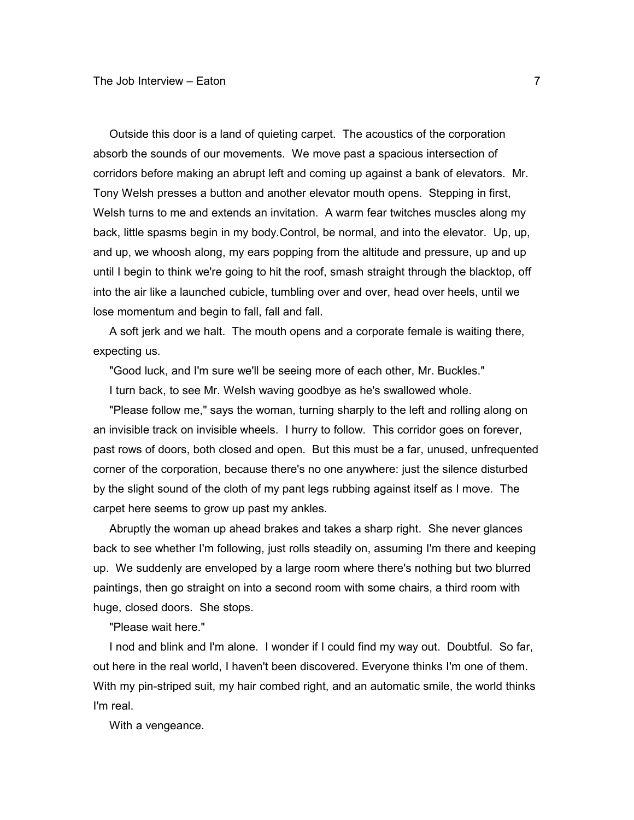Outside this door is a land of quieting carpet. The acoustics of the corporation absorb the sounds of our movements. We move past a spacious intersection of corridors before making an abrupt left and coming up against a bank of elevators. Mr. Tony Welsh presses a button and another elevator mouth opens. Stepping in first, Welsh turns to me and extends an invitation. A warm fear twitches muscles along my back, little spasms begin in my body.Control, be normal, and into the elevator. Up, up, and up, we whoosh along, my ears popping from the altitude and pressure, up and up until I begin to think we're going to hit the roof, smash straight through the blacktop, off into the air like a launched cubicle, tumbling over and over, head over heels, until we lose momentum and begin to fall, fall and fall.

 A soft jerk and we halt. The mouth opens and a corporate female is waiting there, expecting us.

"Good luck, and I'm sure we'll be seeing more of each other, Mr. Buckles."

I turn back, to see Mr. Welsh waving goodbye as he's swallowed whole.

 "Please follow me," says the woman, turning sharply to the left and rolling along on an invisible track on invisible wheels. I hurry to follow. This corridor goes on forever, past rows of doors, both closed and open. But this must be a far, unused, unfrequented corner of the corporation, because there's no one anywhere: just the silence disturbed by the slight sound of the cloth of my pant legs rubbing against itself as I move. The carpet here seems to grow up past my ankles.

 Abruptly the woman up ahead brakes and takes a sharp right. She never glances back to see whether I'm following, just rolls steadily on, assuming I'm there and keeping up. We suddenly are enveloped by a large room where there's nothing but two blurred paintings, then go straight on into a second room with some chairs, a third room with huge, closed doors. She stops.

"Please wait here."

 I nod and blink and I'm alone. I wonder if I could find my way out. Doubtful. So far, out here in the real world, I haven't been discovered. Everyone thinks I'm one of them. With my pin-striped suit, my hair combed right, and an automatic smile, the world thinks I'm real.

With a vengeance.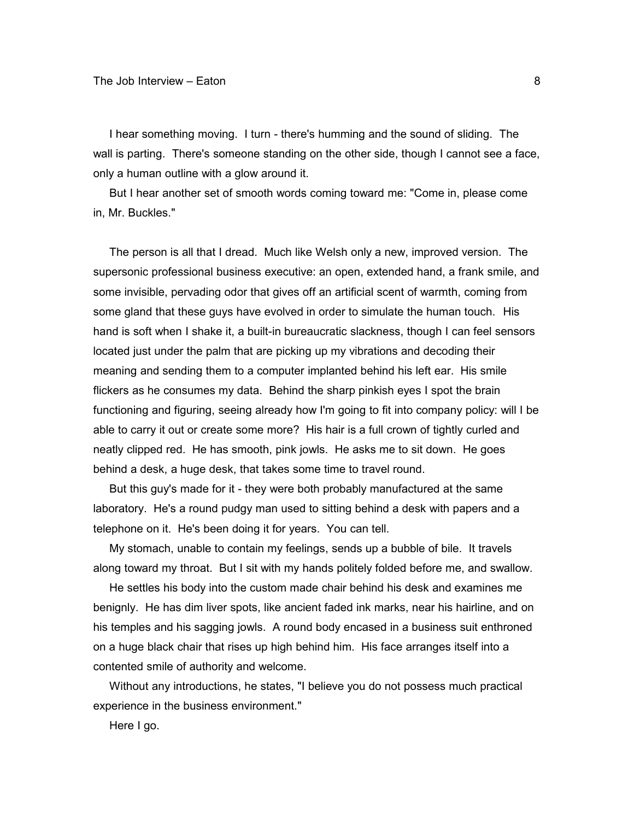I hear something moving. I turn - there's humming and the sound of sliding. The wall is parting. There's someone standing on the other side, though I cannot see a face, only a human outline with a glow around it.

 But I hear another set of smooth words coming toward me: "Come in, please come in, Mr. Buckles."

 The person is all that I dread. Much like Welsh only a new, improved version. The supersonic professional business executive: an open, extended hand, a frank smile, and some invisible, pervading odor that gives off an artificial scent of warmth, coming from some gland that these guys have evolved in order to simulate the human touch. His hand is soft when I shake it, a built-in bureaucratic slackness, though I can feel sensors located just under the palm that are picking up my vibrations and decoding their meaning and sending them to a computer implanted behind his left ear. His smile flickers as he consumes my data. Behind the sharp pinkish eyes I spot the brain functioning and figuring, seeing already how I'm going to fit into company policy: will I be able to carry it out or create some more? His hair is a full crown of tightly curled and neatly clipped red. He has smooth, pink jowls. He asks me to sit down. He goes behind a desk, a huge desk, that takes some time to travel round.

 But this guy's made for it - they were both probably manufactured at the same laboratory. He's a round pudgy man used to sitting behind a desk with papers and a telephone on it. He's been doing it for years. You can tell.

 My stomach, unable to contain my feelings, sends up a bubble of bile. It travels along toward my throat. But I sit with my hands politely folded before me, and swallow.

 He settles his body into the custom made chair behind his desk and examines me benignly. He has dim liver spots, like ancient faded ink marks, near his hairline, and on his temples and his sagging jowls. A round body encased in a business suit enthroned on a huge black chair that rises up high behind him. His face arranges itself into a contented smile of authority and welcome.

 Without any introductions, he states, "I believe you do not possess much practical experience in the business environment."

Here I go.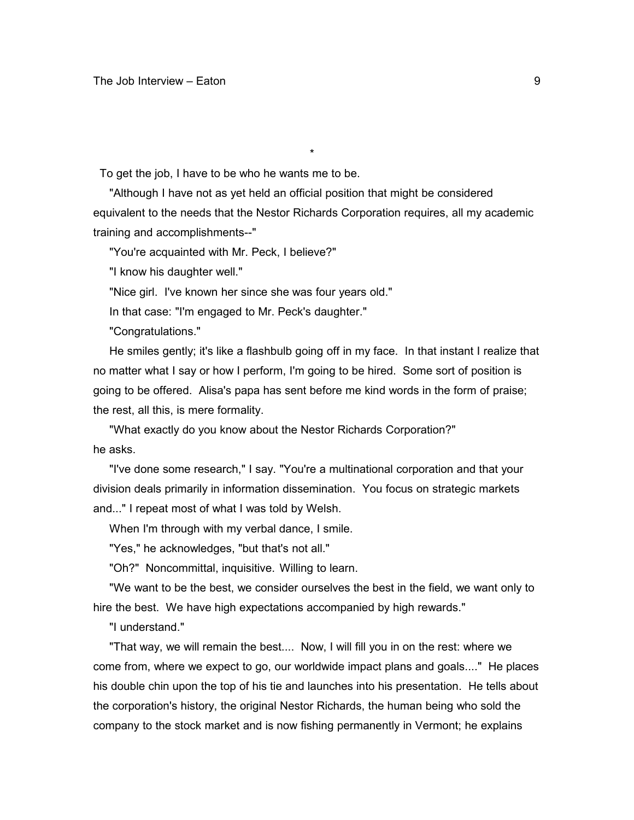To get the job, I have to be who he wants me to be.

 "Although I have not as yet held an official position that might be considered equivalent to the needs that the Nestor Richards Corporation requires, all my academic training and accomplishments--"

\*

"You're acquainted with Mr. Peck, I believe?"

"I know his daughter well."

"Nice girl. I've known her since she was four years old."

In that case: "I'm engaged to Mr. Peck's daughter."

"Congratulations."

 He smiles gently; it's like a flashbulb going off in my face. In that instant I realize that no matter what I say or how I perform, I'm going to be hired. Some sort of position is going to be offered. Alisa's papa has sent before me kind words in the form of praise; the rest, all this, is mere formality.

 "What exactly do you know about the Nestor Richards Corporation?" he asks.

 "I've done some research," I say. "You're a multinational corporation and that your division deals primarily in information dissemination. You focus on strategic markets and..." I repeat most of what I was told by Welsh.

When I'm through with my verbal dance, I smile.

"Yes," he acknowledges, "but that's not all."

"Oh?" Noncommittal, inquisitive. Willing to learn.

 "We want to be the best, we consider ourselves the best in the field, we want only to hire the best. We have high expectations accompanied by high rewards."

"I understand."

 "That way, we will remain the best.... Now, I will fill you in on the rest: where we come from, where we expect to go, our worldwide impact plans and goals...." He places his double chin upon the top of his tie and launches into his presentation. He tells about the corporation's history, the original Nestor Richards, the human being who sold the company to the stock market and is now fishing permanently in Vermont; he explains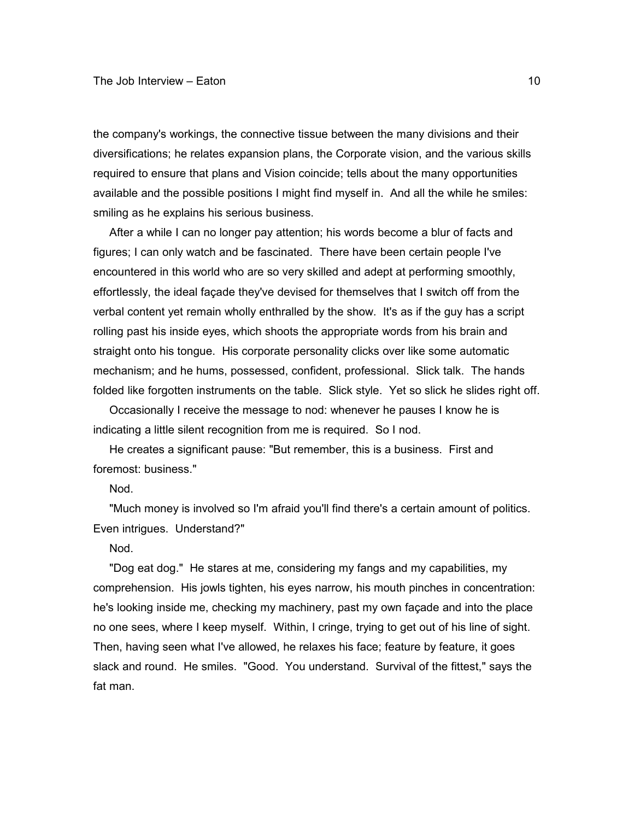the company's workings, the connective tissue between the many divisions and their diversifications; he relates expansion plans, the Corporate vision, and the various skills required to ensure that plans and Vision coincide; tells about the many opportunities available and the possible positions I might find myself in. And all the while he smiles: smiling as he explains his serious business.

 After a while I can no longer pay attention; his words become a blur of facts and figures; I can only watch and be fascinated. There have been certain people I've encountered in this world who are so very skilled and adept at performing smoothly, effortlessly, the ideal façade they've devised for themselves that I switch off from the verbal content yet remain wholly enthralled by the show. It's as if the guy has a script rolling past his inside eyes, which shoots the appropriate words from his brain and straight onto his tongue. His corporate personality clicks over like some automatic mechanism; and he hums, possessed, confident, professional. Slick talk. The hands folded like forgotten instruments on the table. Slick style. Yet so slick he slides right off.

 Occasionally I receive the message to nod: whenever he pauses I know he is indicating a little silent recognition from me is required. So I nod.

 He creates a significant pause: "But remember, this is a business. First and foremost: business."

Nod.

 "Much money is involved so I'm afraid you'll find there's a certain amount of politics. Even intrigues. Understand?"

Nod.

 "Dog eat dog." He stares at me, considering my fangs and my capabilities, my comprehension. His jowls tighten, his eyes narrow, his mouth pinches in concentration: he's looking inside me, checking my machinery, past my own façade and into the place no one sees, where I keep myself. Within, I cringe, trying to get out of his line of sight. Then, having seen what I've allowed, he relaxes his face; feature by feature, it goes slack and round. He smiles. "Good. You understand. Survival of the fittest," says the fat man.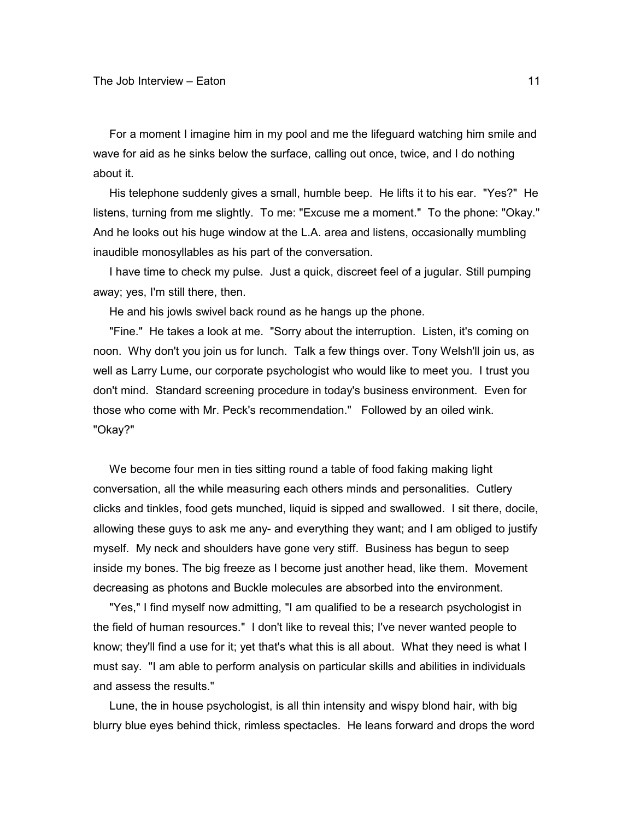For a moment I imagine him in my pool and me the lifeguard watching him smile and wave for aid as he sinks below the surface, calling out once, twice, and I do nothing about it.

 His telephone suddenly gives a small, humble beep. He lifts it to his ear. "Yes?" He listens, turning from me slightly. To me: "Excuse me a moment." To the phone: "Okay." And he looks out his huge window at the L.A. area and listens, occasionally mumbling inaudible monosyllables as his part of the conversation.

 I have time to check my pulse. Just a quick, discreet feel of a jugular. Still pumping away; yes, I'm still there, then.

He and his jowls swivel back round as he hangs up the phone.

 "Fine." He takes a look at me. "Sorry about the interruption. Listen, it's coming on noon. Why don't you join us for lunch. Talk a few things over. Tony Welsh'll join us, as well as Larry Lume, our corporate psychologist who would like to meet you. I trust you don't mind. Standard screening procedure in today's business environment. Even for those who come with Mr. Peck's recommendation." Followed by an oiled wink. "Okay?"

 We become four men in ties sitting round a table of food faking making light conversation, all the while measuring each others minds and personalities. Cutlery clicks and tinkles, food gets munched, liquid is sipped and swallowed. I sit there, docile, allowing these guys to ask me any- and everything they want; and I am obliged to justify myself. My neck and shoulders have gone very stiff. Business has begun to seep inside my bones. The big freeze as I become just another head, like them. Movement decreasing as photons and Buckle molecules are absorbed into the environment.

 "Yes," I find myself now admitting, "I am qualified to be a research psychologist in the field of human resources." I don't like to reveal this; I've never wanted people to know; they'll find a use for it; yet that's what this is all about. What they need is what I must say. "I am able to perform analysis on particular skills and abilities in individuals and assess the results."

 Lune, the in house psychologist, is all thin intensity and wispy blond hair, with big blurry blue eyes behind thick, rimless spectacles. He leans forward and drops the word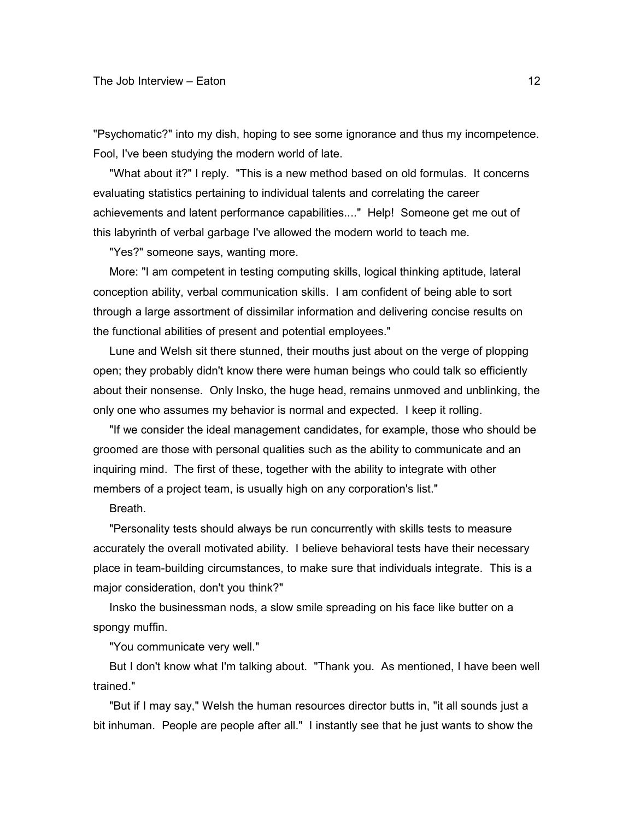"Psychomatic?" into my dish, hoping to see some ignorance and thus my incompetence. Fool, I've been studying the modern world of late.

 "What about it?" I reply. "This is a new method based on old formulas. It concerns evaluating statistics pertaining to individual talents and correlating the career achievements and latent performance capabilities...." Help! Someone get me out of this labyrinth of verbal garbage I've allowed the modern world to teach me.

"Yes?" someone says, wanting more.

 More: "I am competent in testing computing skills, logical thinking aptitude, lateral conception ability, verbal communication skills. I am confident of being able to sort through a large assortment of dissimilar information and delivering concise results on the functional abilities of present and potential employees."

 Lune and Welsh sit there stunned, their mouths just about on the verge of plopping open; they probably didn't know there were human beings who could talk so efficiently about their nonsense. Only Insko, the huge head, remains unmoved and unblinking, the only one who assumes my behavior is normal and expected. I keep it rolling.

 "If we consider the ideal management candidates, for example, those who should be groomed are those with personal qualities such as the ability to communicate and an inquiring mind. The first of these, together with the ability to integrate with other members of a project team, is usually high on any corporation's list."

Breath.

 "Personality tests should always be run concurrently with skills tests to measure accurately the overall motivated ability. I believe behavioral tests have their necessary place in team-building circumstances, to make sure that individuals integrate. This is a major consideration, don't you think?"

 Insko the businessman nods, a slow smile spreading on his face like butter on a spongy muffin.

"You communicate very well."

 But I don't know what I'm talking about. "Thank you. As mentioned, I have been well trained."

 "But if I may say," Welsh the human resources director butts in, "it all sounds just a bit inhuman. People are people after all." I instantly see that he just wants to show the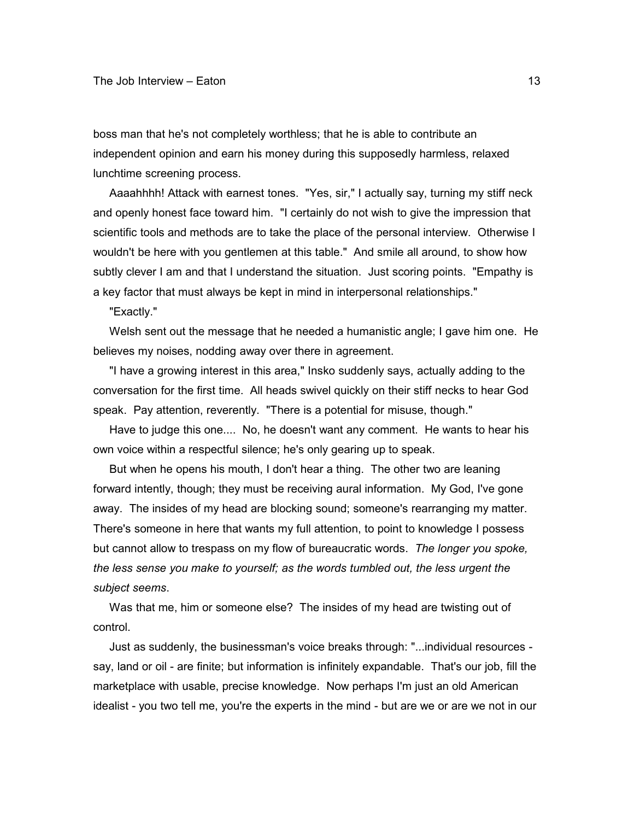boss man that he's not completely worthless; that he is able to contribute an independent opinion and earn his money during this supposedly harmless, relaxed lunchtime screening process.

 Aaaahhhh! Attack with earnest tones. "Yes, sir," I actually say, turning my stiff neck and openly honest face toward him. "I certainly do not wish to give the impression that scientific tools and methods are to take the place of the personal interview. Otherwise I wouldn't be here with you gentlemen at this table." And smile all around, to show how subtly clever I am and that I understand the situation. Just scoring points. "Empathy is a key factor that must always be kept in mind in interpersonal relationships."

"Exactly."

 Welsh sent out the message that he needed a humanistic angle; I gave him one. He believes my noises, nodding away over there in agreement.

 "I have a growing interest in this area," Insko suddenly says, actually adding to the conversation for the first time. All heads swivel quickly on their stiff necks to hear God speak. Pay attention, reverently. "There is a potential for misuse, though."

 Have to judge this one.... No, he doesn't want any comment. He wants to hear his own voice within a respectful silence; he's only gearing up to speak.

 But when he opens his mouth, I don't hear a thing. The other two are leaning forward intently, though; they must be receiving aural information. My God, I've gone away. The insides of my head are blocking sound; someone's rearranging my matter. There's someone in here that wants my full attention, to point to knowledge I possess but cannot allow to trespass on my flow of bureaucratic words. *The longer you spoke, the less sense you make to yourself; as the words tumbled out, the less urgent the subject seems*.

 Was that me, him or someone else? The insides of my head are twisting out of control.

 Just as suddenly, the businessman's voice breaks through: "...individual resources say, land or oil - are finite; but information is infinitely expandable. That's our job, fill the marketplace with usable, precise knowledge. Now perhaps I'm just an old American idealist - you two tell me, you're the experts in the mind - but are we or are we not in our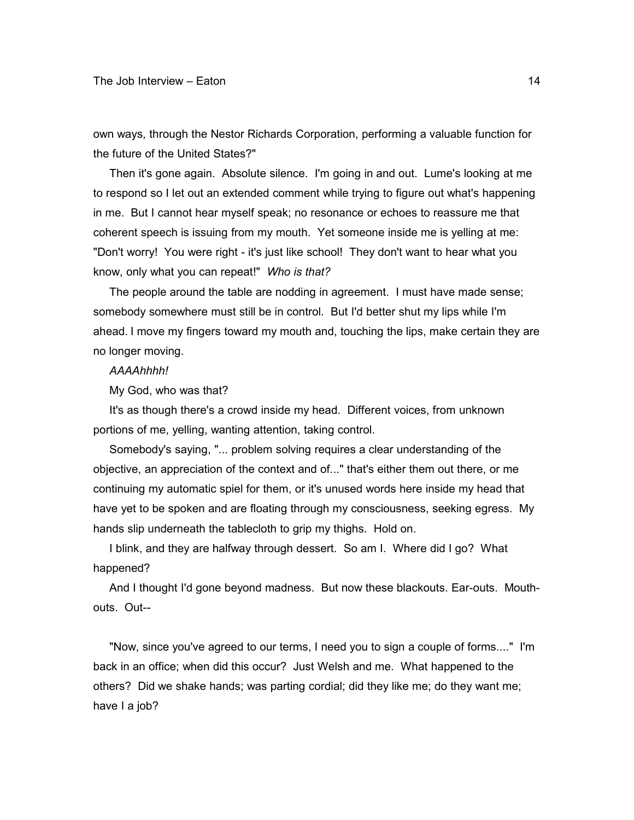own ways, through the Nestor Richards Corporation, performing a valuable function for the future of the United States?"

 Then it's gone again. Absolute silence. I'm going in and out. Lume's looking at me to respond so I let out an extended comment while trying to figure out what's happening in me. But I cannot hear myself speak; no resonance or echoes to reassure me that coherent speech is issuing from my mouth. Yet someone inside me is yelling at me: "Don't worry! You were right - it's just like school! They don't want to hear what you know, only what you can repeat!" *Who is that?*

 The people around the table are nodding in agreement. I must have made sense; somebody somewhere must still be in control. But I'd better shut my lips while I'm ahead. I move my fingers toward my mouth and, touching the lips, make certain they are no longer moving.

*AAAAhhhh!*

My God, who was that?

 It's as though there's a crowd inside my head. Different voices, from unknown portions of me, yelling, wanting attention, taking control.

 Somebody's saying, "... problem solving requires a clear understanding of the objective, an appreciation of the context and of..." that's either them out there, or me continuing my automatic spiel for them, or it's unused words here inside my head that have yet to be spoken and are floating through my consciousness, seeking egress. My hands slip underneath the tablecloth to grip my thighs. Hold on.

 I blink, and they are halfway through dessert. So am I. Where did I go? What happened?

 And I thought I'd gone beyond madness. But now these blackouts. Ear-outs. Mouthouts. Out--

 "Now, since you've agreed to our terms, I need you to sign a couple of forms...." I'm back in an office; when did this occur? Just Welsh and me. What happened to the others? Did we shake hands; was parting cordial; did they like me; do they want me; have I a job?